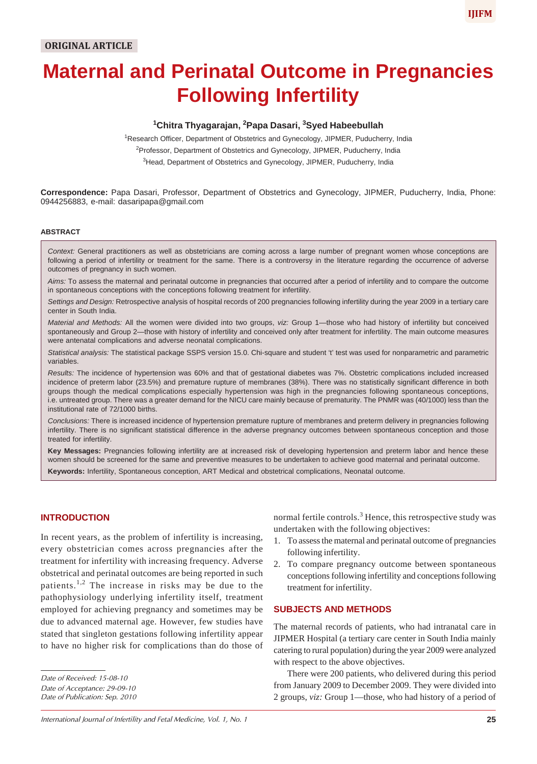## **1 Chitra Thyagarajan, 2 Papa Dasari, 3 Syed Habeebullah**

**Following Infertility**

<sup>1</sup>Research Officer, Department of Obstetrics and Gynecology, JIPMER, Puducherry, India <sup>2</sup>Professor, Department of Obstetrics and Gynecology, JIPMER, Puducherry, India <sup>3</sup>Head, Department of Obstetrics and Gynecology, JIPMER, Puducherry, India

**Correspondence:** Papa Dasari, Professor, Department of Obstetrics and Gynecology, JIPMER, Puducherry, India, Phone: 0944256883, e-mail: dasaripapa@gmail.com

#### **ABSTRACT**

*Context:* General practitioners as well as obstetricians are coming across a large number of pregnant women whose conceptions are following a period of infertility or treatment for the same. There is a controversy in the literature regarding the occurrence of adverse outcomes of pregnancy in such women.

*Aims:* To assess the maternal and perinatal outcome in pregnancies that occurred after a period of infertility and to compare the outcome in spontaneous conceptions with the conceptions following treatment for infertility.

*Settings and Design:* Retrospective analysis of hospital records of 200 pregnancies following infertility during the year 2009 in a tertiary care center in South India.

*Material and Methods:* All the women were divided into two groups, *viz:* Group 1—those who had history of infertility but conceived spontaneously and Group 2—those with history of infertility and conceived only after treatment for infertility. The main outcome measures were antenatal complications and adverse neonatal complications.

*Statistical analysis:* The statistical package SSPS version 15.0. Chi-square and student 't' test was used for nonparametric and parametric variables.

*Results:* The incidence of hypertension was 60% and that of gestational diabetes was 7%. Obstetric complications included increased incidence of preterm labor (23.5%) and premature rupture of membranes (38%). There was no statistically significant difference in both groups though the medical complications especially hypertension was high in the pregnancies following spontaneous conceptions, i.e. untreated group. There was a greater demand for the NICU care mainly because of prematurity. The PNMR was (40/1000) less than the institutional rate of 72/1000 births.

*Conclusions:* There is increased incidence of hypertension premature rupture of membranes and preterm delivery in pregnancies following infertility. There is no significant statistical difference in the adverse pregnancy outcomes between spontaneous conception and those treated for infertility.

**Key Messages:** Pregnancies following infertility are at increased risk of developing hypertension and preterm labor and hence these women should be screened for the same and preventive measures to be undertaken to achieve good maternal and perinatal outcome. **Keywords:** Infertility, Spontaneous conception, ART Medical and obstetrical complications, Neonatal outcome.

## **INTRODUCTION**

In recent years, as the problem of infertility is increasing, every obstetrician comes across pregnancies after the treatment for infertility with increasing frequency. Adverse obstetrical and perinatal outcomes are being reported in such patients.<sup>1,2</sup> The increase in risks may be due to the pathophysiology underlying infertility itself, treatment employed for achieving pregnancy and sometimes may be due to advanced maternal age. However, few studies have stated that singleton gestations following infertility appear to have no higher risk for complications than do those of

*Date of Acceptance: 29-09-10 Date of Publication: Sep. 2010* normal fertile controls.<sup>3</sup> Hence, this retrospective study was undertaken with the following objectives:

- 1. To assess the maternal and perinatal outcome of pregnancies following infertility.
- 2. To compare pregnancy outcome between spontaneous conceptions following infertility and conceptions following treatment for infertility.

## **SUBJECTS AND METHODS**

The maternal records of patients, who had intranatal care in JIPMER Hospital (a tertiary care center in South India mainly catering to rural population) during the year 2009 were analyzed with respect to the above objectives.

There were 200 patients, who delivered during this period from January 2009 to December 2009. They were divided into 2 groups, *viz:* Group 1—those, who had history of a period of

**IJIFM**

*Date of Received: 15-08-10*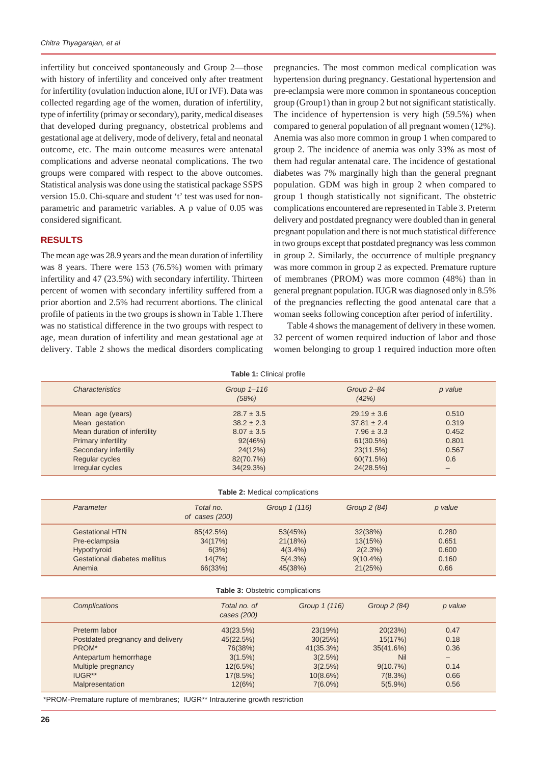infertility but conceived spontaneously and Group 2—those with history of infertility and conceived only after treatment for infertility (ovulation induction alone, IUI or IVF). Data was collected regarding age of the women, duration of infertility, type of infertility (primay or secondary), parity, medical diseases that developed during pregnancy, obstetrical problems and gestational age at delivery, mode of delivery, fetal and neonatal outcome, etc. The main outcome measures were antenatal complications and adverse neonatal complications. The two groups were compared with respect to the above outcomes. Statistical analysis was done using the statistical package SSPS version 15.0. Chi-square and student 't' test was used for nonparametric and parametric variables. A p value of 0.05 was considered significant.

### **RESULTS**

The mean age was 28.9 years and the mean duration of infertility was 8 years. There were 153 (76.5%) women with primary infertility and 47 (23.5%) with secondary infertility. Thirteen percent of women with secondary infertility suffered from a prior abortion and 2.5% had recurrent abortions. The clinical profile of patients in the two groups is shown in Table 1.There was no statistical difference in the two groups with respect to age, mean duration of infertility and mean gestational age at delivery. Table 2 shows the medical disorders complicating pregnancies. The most common medical complication was hypertension during pregnancy. Gestational hypertension and pre-eclampsia were more common in spontaneous conception group (Group1) than in group 2 but not significant statistically. The incidence of hypertension is very high (59.5%) when compared to general population of all pregnant women (12%). Anemia was also more common in group 1 when compared to group 2. The incidence of anemia was only 33% as most of them had regular antenatal care. The incidence of gestational diabetes was 7% marginally high than the general pregnant population. GDM was high in group 2 when compared to group 1 though statistically not significant. The obstetric complications encountered are represented in Table 3. Preterm delivery and postdated pregnancy were doubled than in general pregnant population and there is not much statistical difference in two groups except that postdated pregnancy was less common in group 2. Similarly, the occurrence of multiple pregnancy was more common in group 2 as expected. Premature rupture of membranes (PROM) was more common (48%) than in general pregnant population. IUGR was diagnosed only in 8.5% of the pregnancies reflecting the good antenatal care that a woman seeks following conception after period of infertility.

Table 4 shows the management of delivery in these women. 32 percent of women required induction of labor and those women belonging to group 1 required induction more often

|                              | <b>Table 1: Clinical profile</b> |                     |         |
|------------------------------|----------------------------------|---------------------|---------|
| <b>Characteristics</b>       | Group 1-116<br>(58%)             | Group 2-84<br>(42%) | p value |
| Mean age (years)             | $28.7 \pm 3.5$                   | $29.19 \pm 3.6$     | 0.510   |
| Mean gestation               | $38.2 \pm 2.3$                   | $37.81 \pm 2.4$     | 0.319   |
| Mean duration of infertility | $8.07 \pm 3.5$                   | $7.96 \pm 3.3$      | 0.452   |
| <b>Primary infertility</b>   | 92(46%)                          | 61(30.5%)           | 0.801   |
| Secondary infertiliy         | 24(12%)                          | 23(11.5%)           | 0.567   |
| Regular cycles               | 82(70.7%)                        | 60(71.5%)           | 0.6     |
| Irregular cycles             | 34(29.3%)                        | 24(28.5%)           | -       |

| <b>Table 2: Medical complications</b> |                               |               |              |         |  |
|---------------------------------------|-------------------------------|---------------|--------------|---------|--|
| Parameter                             | Total no.<br>of cases $(200)$ | Group 1 (116) | Group 2 (84) | p value |  |
| <b>Gestational HTN</b>                | 85(42.5%)                     | 53(45%)       | 32(38%)      | 0.280   |  |
| Pre-eclampsia                         | 34(17%)                       | 21(18%)       | 13(15%)      | 0.651   |  |
| Hypothyroid                           | 6(3%)                         | $4(3.4\%)$    | 2(2.3%)      | 0.600   |  |
| Gestational diabetes mellitus         | 14(7%)                        | $5(4.3\%)$    | $9(10.4\%)$  | 0.160   |  |
| Anemia                                | 66(33%)                       | 45(38%)       | 21(25%)      | 0.66    |  |

#### **Table 3:** Obstetric complications

| <b>Complications</b>             | Total no. of<br>cases (200) | Group 1 (116) | Group 2 (84) | p value |
|----------------------------------|-----------------------------|---------------|--------------|---------|
| Preterm labor                    | 43(23.5%)                   | 23(19%)       | 20(23%)      | 0.47    |
| Postdated pregnancy and delivery | 45(22.5%)                   | 30(25%)       | 15(17%)      | 0.18    |
| PROM*                            | 76(38%)                     | 41(35.3%)     | 35(41.6%)    | 0.36    |
| Antepartum hemorrhage            | 3(1.5%)                     | 3(2.5%)       | Nil          |         |
| Multiple pregnancy               | 12(6.5%)                    | 3(2.5%)       | $9(10.7\%)$  | 0.14    |
| IUGR <sup>**</sup>               | 17(8.5%)                    | $10(8.6\%)$   | 7(8.3%)      | 0.66    |
| Malpresentation                  | 12(6%)                      | $7(6.0\%)$    | $5(5.9\%)$   | 0.56    |

\*PROM-Premature rupture of membranes; IUGR\*\* Intrauterine growth restriction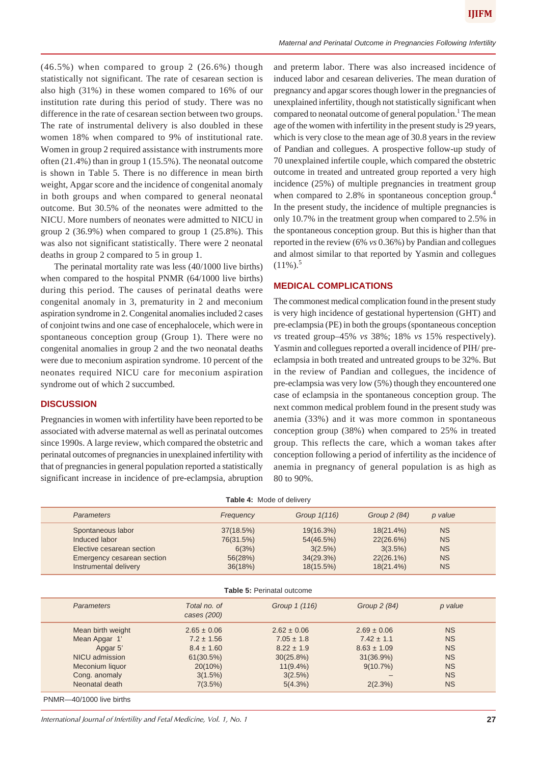(46.5%) when compared to group 2 (26.6%) though statistically not significant. The rate of cesarean section is also high (31%) in these women compared to 16% of our institution rate during this period of study. There was no difference in the rate of cesarean section between two groups. The rate of instrumental delivery is also doubled in these women 18% when compared to 9% of institutional rate. Women in group 2 required assistance with instruments more often (21.4%) than in group 1 (15.5%). The neonatal outcome is shown in Table 5. There is no difference in mean birth weight, Apgar score and the incidence of congenital anomaly in both groups and when compared to general neonatal outcome. But 30.5% of the neonates were admitted to the NICU. More numbers of neonates were admitted to NICU in group 2 (36.9%) when compared to group 1 (25.8%). This was also not significant statistically. There were 2 neonatal deaths in group 2 compared to 5 in group 1.

The perinatal mortality rate was less (40/1000 live births) when compared to the hospital PNMR (64/1000 live births) during this period. The causes of perinatal deaths were congenital anomaly in 3, prematurity in 2 and meconium aspiration syndrome in 2. Congenital anomalies included 2 cases of conjoint twins and one case of encephalocele, which were in spontaneous conception group (Group 1). There were no congenital anomalies in group 2 and the two neonatal deaths were due to meconium aspiration syndrome. 10 percent of the neonates required NICU care for meconium aspiration syndrome out of which 2 succumbed.

## **DISCUSSION**

Pregnancies in women with infertility have been reported to be associated with adverse maternal as well as perinatal outcomes since 1990s. A large review, which compared the obstetric and perinatal outcomes of pregnancies in unexplained infertility with that of pregnancies in general population reported a statistically significant increase in incidence of pre-eclampsia, abruption and preterm labor. There was also increased incidence of induced labor and cesarean deliveries. The mean duration of pregnancy and apgar scores though lower in the pregnancies of unexplained infertility, though not statistically significant when compared to neonatal outcome of general population.<sup>1</sup> The mean age of the women with infertility in the present study is 29 years, which is very close to the mean age of 30.8 years in the review of Pandian and collegues. A prospective follow-up study of 70 unexplained infertile couple, which compared the obstetric outcome in treated and untreated group reported a very high incidence (25%) of multiple pregnancies in treatment group when compared to 2.8% in spontaneous conception group.<sup>4</sup> In the present study, the incidence of multiple pregnancies is only 10.7% in the treatment group when compared to 2.5% in the spontaneous conception group. But this is higher than that reported in the review (6% *vs* 0.36%) by Pandian and collegues and almost similar to that reported by Yasmin and collegues  $(11\%)$ <sup>5</sup>

#### **MEDICAL COMPLICATIONS**

The commonest medical complication found in the present study is very high incidence of gestational hypertension (GHT) and pre-eclampsia (PE) in both the groups (spontaneous conception *vs* treated group–45% *vs* 38%; 18% *vs* 15% respectively). Yasmin and collegues reported a overall incidence of PIH/ preeclampsia in both treated and untreated groups to be 32%. But in the review of Pandian and collegues, the incidence of pre-eclampsia was very low (5%) though they encountered one case of eclampsia in the spontaneous conception group. The next common medical problem found in the present study was anemia (33%) and it was more common in spontaneous conception group (38%) when compared to 25% in treated group. This reflects the care, which a woman takes after conception following a period of infertility as the incidence of anemia in pregnancy of general population is as high as 80 to 90%.

| <b>Table 4: Mode of delivery</b>  |                                                                                                                        |                                                                                                      |                                                                                                          |                                                                                                |                                                                                         |
|-----------------------------------|------------------------------------------------------------------------------------------------------------------------|------------------------------------------------------------------------------------------------------|----------------------------------------------------------------------------------------------------------|------------------------------------------------------------------------------------------------|-----------------------------------------------------------------------------------------|
|                                   | <b>Parameters</b>                                                                                                      | Frequency                                                                                            | Group 1(116)                                                                                             | Group 2 (84)                                                                                   | p value                                                                                 |
|                                   | Spontaneous labor<br>Induced labor<br>Elective cesarean section<br>Emergency cesarean section<br>Instrumental delivery | 37(18.5%)<br>76(31.5%)<br>6(3%)<br>56(28%)<br>36(18%)                                                | 19(16.3%)<br>54(46.5%)<br>3(2.5%)<br>34(29.3%)<br>18(15.5%)                                              | $18(21.4\%)$<br>22(26.6%)<br>3(3.5%)<br>$22(26.1\%)$<br>18(21.4%)                              | <b>NS</b><br><b>NS</b><br><b>NS</b><br><b>NS</b><br><b>NS</b>                           |
| <b>Table 5: Perinatal outcome</b> |                                                                                                                        |                                                                                                      |                                                                                                          |                                                                                                |                                                                                         |
|                                   | <b>Parameters</b>                                                                                                      | Total no. of<br>cases (200)                                                                          | Group 1 (116)                                                                                            | Group 2 (84)                                                                                   | p value                                                                                 |
|                                   | Mean birth weight<br>Mean Apgar 1'<br>Apgar 5'<br>NICU admission<br>Meconium liquor<br>Cong. anomaly<br>Neonatal death | $2.65 \pm 0.06$<br>$7.2 \pm 1.56$<br>$8.4 \pm 1.60$<br>61(30.5%)<br>$20(10\%)$<br>3(1.5%)<br>7(3.5%) | $2.62 \pm 0.06$<br>$7.05 \pm 1.8$<br>$8.22 \pm 1.9$<br>$30(25.8\%)$<br>$11(9.4\%)$<br>3(2.5%)<br>5(4.3%) | $2.69 \pm 0.06$<br>$7.42 \pm 1.1$<br>$8.63 \pm 1.09$<br>$31(36.9\%)$<br>$9(10.7\%)$<br>2(2.3%) | <b>NS</b><br><b>NS</b><br><b>NS</b><br><b>NS</b><br><b>NS</b><br><b>NS</b><br><b>NS</b> |
|                                   |                                                                                                                        |                                                                                                      |                                                                                                          |                                                                                                |                                                                                         |

PNMR—40/1000 live births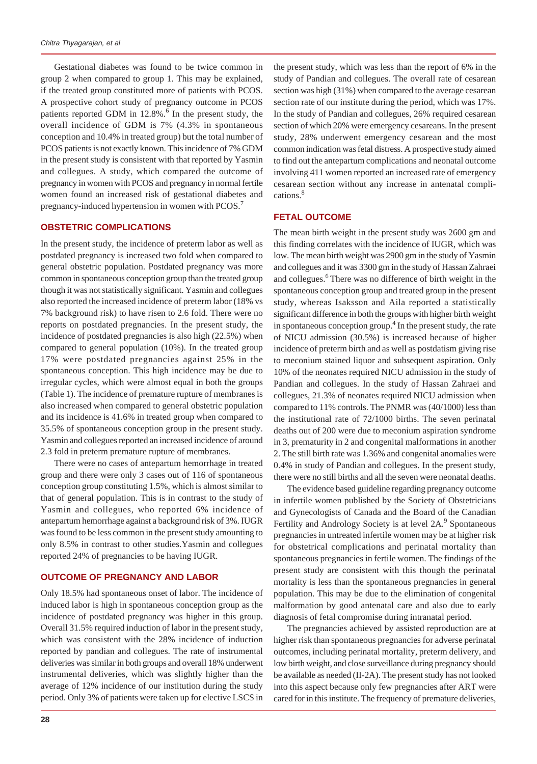Gestational diabetes was found to be twice common in group 2 when compared to group 1. This may be explained, if the treated group constituted more of patients with PCOS. A prospective cohort study of pregnancy outcome in PCOS patients reported GDM in 12.8%.<sup>6</sup> In the present study, the overall incidence of GDM is 7% (4.3% in spontaneous conception and 10.4% in treated group) but the total number of PCOS patients is not exactly known. This incidence of 7% GDM in the present study is consistent with that reported by Yasmin and collegues. A study, which compared the outcome of pregnancy in women with PCOS and pregnancy in normal fertile women found an increased risk of gestational diabetes and pregnancy-induced hypertension in women with PCOS.7

### **OBSTETRIC COMPLICATIONS**

In the present study, the incidence of preterm labor as well as postdated pregnancy is increased two fold when compared to general obstetric population. Postdated pregnancy was more common in spontaneous conception group than the treated group though it was not statistically significant. Yasmin and collegues also reported the increased incidence of preterm labor (18% vs 7% background risk) to have risen to 2.6 fold. There were no reports on postdated pregnancies. In the present study, the incidence of postdated pregnancies is also high (22.5%) when compared to general population (10%). In the treated group 17% were postdated pregnancies against 25% in the spontaneous conception. This high incidence may be due to irregular cycles, which were almost equal in both the groups (Table 1). The incidence of premature rupture of membranes is also increased when compared to general obstetric population and its incidence is 41.6% in treated group when compared to 35.5% of spontaneous conception group in the present study. Yasmin and collegues reported an increased incidence of around 2.3 fold in preterm premature rupture of membranes.

There were no cases of antepartum hemorrhage in treated group and there were only 3 cases out of 116 of spontaneous conception group constituting 1.5%, which is almost similar to that of general population. This is in contrast to the study of Yasmin and collegues, who reported 6% incidence of antepartum hemorrhage against a background risk of 3%. IUGR was found to be less common in the present study amounting to only 8.5% in contrast to other studies.Yasmin and collegues reported 24% of pregnancies to be having IUGR.

#### **OUTCOME OF PREGNANCY AND LABOR**

Only 18.5% had spontaneous onset of labor. The incidence of induced labor is high in spontaneous conception group as the incidence of postdated pregnancy was higher in this group. Overall 31.5% required induction of labor in the present study, which was consistent with the 28% incidence of induction reported by pandian and collegues. The rate of instrumental deliveries was similar in both groups and overall 18% underwent instrumental deliveries, which was slightly higher than the average of 12% incidence of our institution during the study period. Only 3% of patients were taken up for elective LSCS in

the present study, which was less than the report of 6% in the study of Pandian and collegues. The overall rate of cesarean section was high (31%) when compared to the average cesarean section rate of our institute during the period, which was 17%. In the study of Pandian and collegues, 26% required cesarean section of which 20% were emergency cesareans. In the present study, 28% underwent emergency cesarean and the most common indication was fetal distress. A prospective study aimed to find out the antepartum complications and neonatal outcome involving 411 women reported an increased rate of emergency cesarean section without any increase in antenatal complications.<sup>8</sup>

## **FETAL OUTCOME**

The mean birth weight in the present study was 2600 gm and this finding correlates with the incidence of IUGR, which was low. The mean birth weight was 2900 gm in the study of Yasmin and collegues and it was 3300 gm in the study of Hassan Zahraei and collegues.<sup>6</sup> There was no difference of birth weight in the spontaneous conception group and treated group in the present study, whereas Isaksson and Aila reported a statistically significant difference in both the groups with higher birth weight in spontaneous conception group.<sup>4</sup> In the present study, the rate of NICU admission (30.5%) is increased because of higher incidence of preterm birth and as well as postdatism giving rise to meconium stained liquor and subsequent aspiration. Only 10% of the neonates required NICU admission in the study of Pandian and collegues. In the study of Hassan Zahraei and collegues, 21.3% of neonates required NICU admission when compared to 11% controls. The PNMR was (40/1000) less than the institutional rate of 72/1000 births. The seven perinatal deaths out of 200 were due to meconium aspiration syndrome in 3, prematurity in 2 and congenital malformations in another 2. The still birth rate was 1.36% and congenital anomalies were 0.4% in study of Pandian and collegues. In the present study, there were no still births and all the seven were neonatal deaths.

The evidence based guideline regarding pregnancy outcome in infertile women published by the Society of Obstetricians and Gynecologists of Canada and the Board of the Canadian Fertility and Andrology Society is at level 2A.<sup>9</sup> Spontaneous pregnancies in untreated infertile women may be at higher risk for obstetrical complications and perinatal mortality than spontaneous pregnancies in fertile women. The findings of the present study are consistent with this though the perinatal mortality is less than the spontaneous pregnancies in general population. This may be due to the elimination of congenital malformation by good antenatal care and also due to early diagnosis of fetal compromise during intranatal period.

The pregnancies achieved by assisted reproduction are at higher risk than spontaneous pregnancies for adverse perinatal outcomes, including perinatal mortality, preterm delivery, and low birth weight, and close surveillance during pregnancy should be available as needed (II-2A). The present study has not looked into this aspect because only few pregnancies after ART were cared for in this institute. The frequency of premature deliveries,